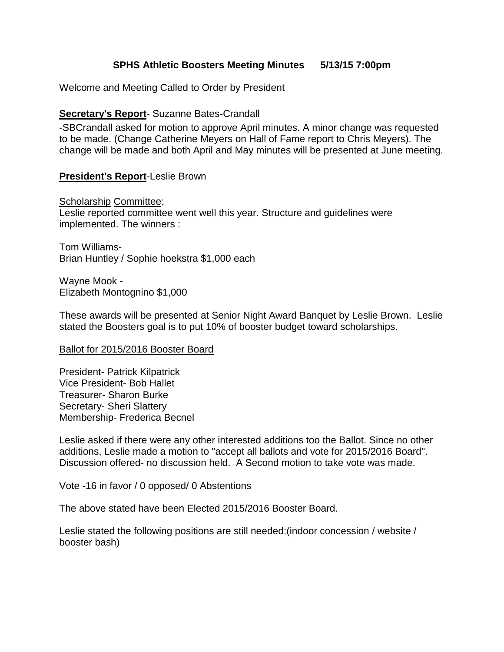## **SPHS Athletic Boosters Meeting Minutes 5/13/15 7:00pm**

Welcome and Meeting Called to Order by President

### **Secretary**'**s Report**- Suzanne Bates-Crandall

-SBCrandall asked for motion to approve April minutes. A minor change was requested to be made. (Change Catherine Meyers on Hall of Fame report to Chris Meyers). The change will be made and both April and May minutes will be presented at June meeting.

#### **President**'**s Report**-Leslie Brown

Scholarship Committee: Leslie reported committee went well this year. Structure and guidelines were implemented. The winners :

Tom Williams-Brian Huntley / Sophie hoekstra \$1,000 each

Wayne Mook - Elizabeth Montognino \$1,000

These awards will be presented at Senior Night Award Banquet by Leslie Brown. Leslie stated the Boosters goal is to put 10% of booster budget toward scholarships.

#### Ballot for 2015/2016 Booster Board

President- Patrick Kilpatrick Vice President- Bob Hallet Treasurer- Sharon Burke Secretary- Sheri Slattery Membership- Frederica Becnel

Leslie asked if there were any other interested additions too the Ballot. Since no other additions, Leslie made a motion to "accept all ballots and vote for 2015/2016 Board". Discussion offered- no discussion held. A Second motion to take vote was made.

Vote -16 in favor / 0 opposed/ 0 Abstentions

The above stated have been Elected 2015/2016 Booster Board.

Leslie stated the following positions are still needed:(indoor concession / website / booster bash)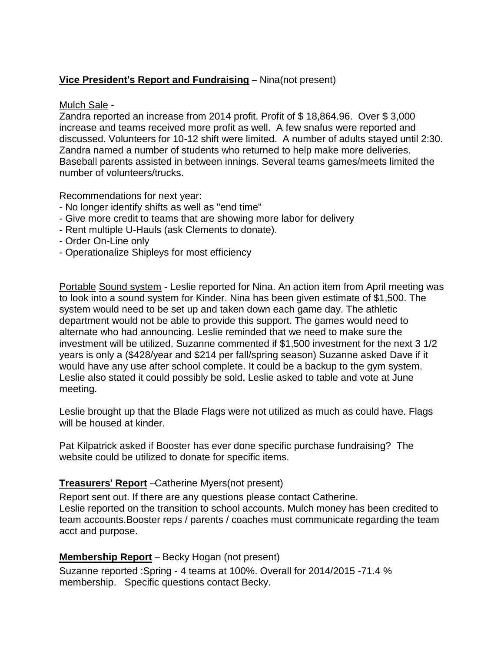# **Vice President**'**s Report and Fundraising** – Nina(not present)

### Mulch Sale -

Zandra reported an increase from 2014 profit. Profit of \$ 18,864.96. Over \$ 3,000 increase and teams received more profit as well. A few snafus were reported and discussed. Volunteers for 10-12 shift were limited. A number of adults stayed until 2:30. Zandra named a number of students who returned to help make more deliveries. Baseball parents assisted in between innings. Several teams games/meets limited the number of volunteers/trucks.

Recommendations for next year:

- No longer identify shifts as well as "end time"
- Give more credit to teams that are showing more labor for delivery
- Rent multiple U-Hauls (ask Clements to donate).
- Order On-Line only
- Operationalize Shipleys for most efficiency

Portable Sound system - Leslie reported for Nina. An action item from April meeting was to look into a sound system for Kinder. Nina has been given estimate of \$1,500. The system would need to be set up and taken down each game day. The athletic department would not be able to provide this support. The games would need to alternate who had announcing. Leslie reminded that we need to make sure the investment will be utilized. Suzanne commented if \$1,500 investment for the next 3 1/2 years is only a (\$428/year and \$214 per fall/spring season) Suzanne asked Dave if it would have any use after school complete. It could be a backup to the gym system. Leslie also stated it could possibly be sold. Leslie asked to table and vote at June meeting.

Leslie brought up that the Blade Flags were not utilized as much as could have. Flags will be housed at kinder.

Pat Kilpatrick asked if Booster has ever done specific purchase fundraising? The website could be utilized to donate for specific items.

### **Treasurers**' **Report** –Catherine Myers(not present)

Report sent out. If there are any questions please contact Catherine. Leslie reported on the transition to school accounts. Mulch money has been credited to team accounts.Booster reps / parents / coaches must communicate regarding the team acct and purpose.

### **Membership Report** – Becky Hogan (not present)

Suzanne reported :Spring - 4 teams at 100%. Overall for 2014/2015 -71.4 % membership. Specific questions contact Becky.